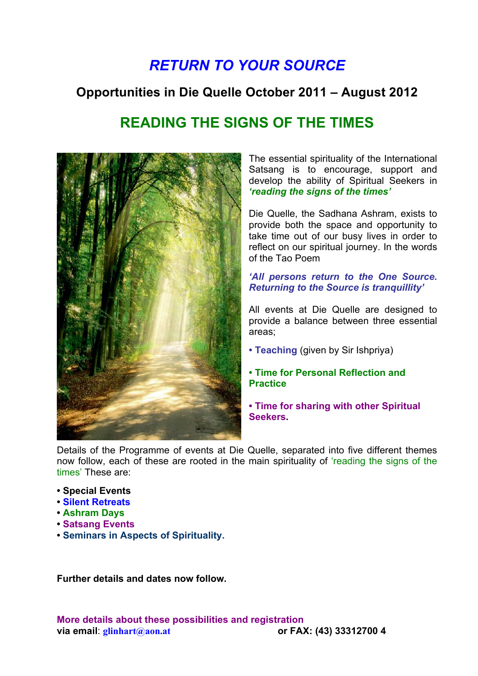# *RETURN TO YOUR SOURCE*

## **Opportunities in Die Quelle October 2011 – August 2012**

## **READING THE SIGNS OF THE TIMES**



The essential spirituality of the International Satsang is to encourage, support and develop the ability of Spiritual Seekers in *'reading the signs of the times'*

Die Quelle, the Sadhana Ashram, exists to provide both the space and opportunity to take time out of our busy lives in order to reflect on our spiritual journey. In the words of the Tao Poem

*'All persons return to the One Source. Returning to the Source is tranquillity'*

All events at Die Quelle are designed to provide a balance between three essential areas;

- **Teaching** (given by Sir Ishpriya)
- **Time for Personal Reflection and Practice**
- **Time for sharing with other Spiritual Seekers.**

Details of the Programme of events at Die Quelle, separated into five different themes now follow, each of these are rooted in the main spirituality of 'reading the signs of the times' These are:

- **Special Events**
- **Silent Retreats**
- **Ashram Days**
- **Satsang Events**
- **Seminars in Aspects of Spirituality.**

**Further details and dates now follow.**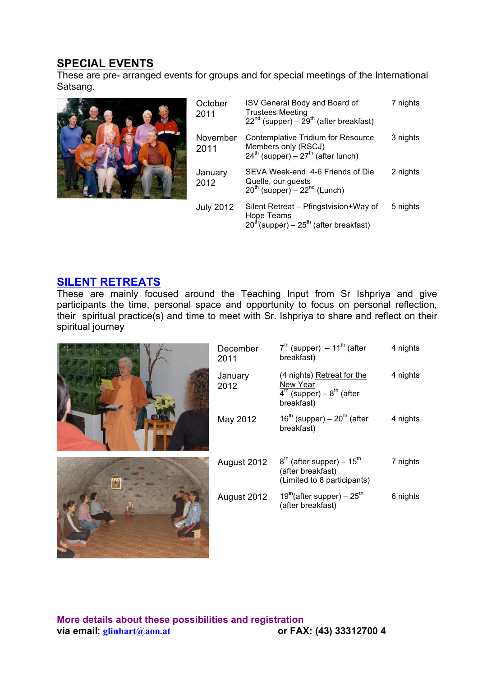### **SPECIAL EVENTS**

These are pre- arranged events for groups and for special meetings of the International Satsang.



| October<br>2011  | ISV General Body and Board of<br><b>Trustees Meeting</b><br>$22^{nd}$ (supper) – $29^{th}$ (after breakfast) | 7 nights |
|------------------|--------------------------------------------------------------------------------------------------------------|----------|
| November<br>2011 | Contemplative Tridium for Resource<br>Members only (RSCJ)<br>$24^{th}$ (supper) – $27^{th}$ (after lunch)    | 3 nights |
| January<br>2012  | SEVA Week-end 4-6 Friends of Die<br>Quelle, our guests<br>$20^{th}$ (supper) – $22^{nd}$ (Lunch)             | 2 nights |
| <b>July 2012</b> | Silent Retreat – Pfingstvision+Way of<br>Hope Teams<br>$20^{th}$ (supper) – $25^{th}$ (after breakfast)      | 5 nights |

#### **SILENT RETREATS**

These are mainly focused around the Teaching Input from Sr Ishpriya and give participants the time, personal space and opportunity to focus on personal reflection, their spiritual practice(s) and time to meet with Sr. Ishpriya to share and reflect on their spiritual journey

| December<br>2011 | $7th$ (supper) $-11th$ (after<br>breakfast)                                                 | 4 nights |
|------------------|---------------------------------------------------------------------------------------------|----------|
| January<br>2012  | (4 nights) Retreat for the<br>New Year<br>$4^{th}$ (supper) – $8^{th}$ (after<br>breakfast) | 4 nights |
| May 2012         | $16th$ (supper) – $20th$ (after<br>breakfast)                                               | 4 nights |
| August 2012      | $8th$ (after supper) – 15 <sup>th</sup><br>(after breakfast)<br>(Limited to 8 participants) | 7 nights |
| August 2012      | $19^{\text{th}}$ (after supper) – $25^{\text{th}}$<br>(after breakfast)                     | 6 nights |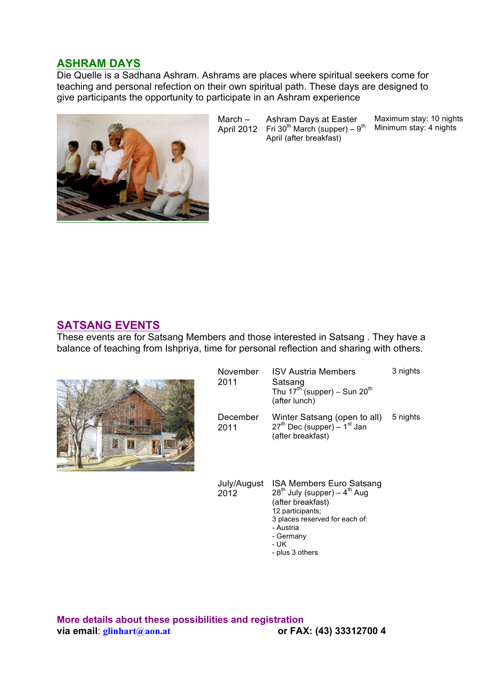#### **ASHRAM DAYS**

Die Quelle is a Sadhana Ashram. Ashrams are places where spiritual seekers come for teaching and personal refection on their own spiritual path. These days are designed to give participants the opportunity to participate in an Ashram experience



March – April 2012 Fri 30<sup>th</sup> March (supper) – 9<sup>th</sup> Ashram Days at Easter April (after breakfast) Maximum stay: 10 nights Minimum stay: 4 nights

#### **SATSANG EVENTS**

These events are for Satsang Members and those interested in Satsang . They have a balance of teaching from Ishpriya, time for personal reflection and sharing with others.



| November<br>2011 | <b>ISV Austria Members</b><br>Satsang<br>Thu $17^{\text{th}}$ (supper) – Sun $20^{\text{th}}$<br>(after lunch) | 3 nights |
|------------------|----------------------------------------------------------------------------------------------------------------|----------|
| December<br>2011 | Winter Satsang (open to all)<br>$27th$ Dec (supper) – 1 <sup>st</sup> Jan<br>(after breakfast)                 | 5 nights |

July/August ISA Members Euro Satsang 2012  $28^{th}$  July (supper) –  $4^{th}$  Aug (after breakfast) 12 participants; 3 places reserved for each of: - Austria - Germany - UK

- plus 3 others